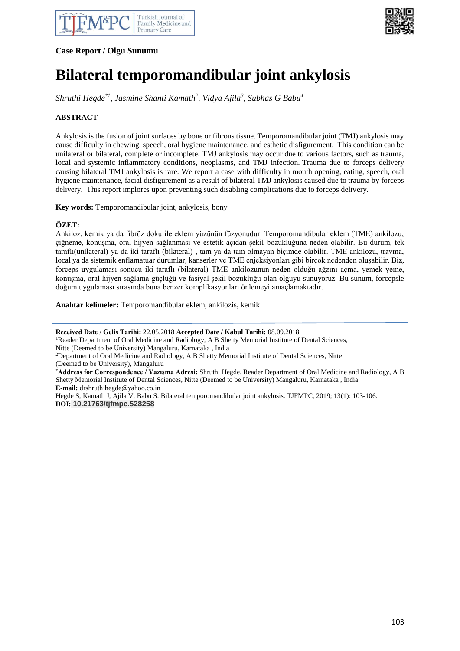



**Case Report / Olgu Sunumu**

# **Bilateral temporomandibular joint ankylosis**

*Shruthi Hegde\*1, Jasmine Shanti Kamath<sup>2</sup> , Vidya Ajila<sup>3</sup> , Subhas G Babu<sup>4</sup>*

## **ABSTRACT**

Ankylosis is the fusion of joint surfaces by bone or fibrous tissue. Temporomandibular joint (TMJ) ankylosis may cause difficulty in chewing, speech, oral hygiene maintenance, and esthetic disfigurement. This condition can be unilateral or bilateral, complete or incomplete. TMJ ankylosis may occur due to various factors, such as trauma, local and systemic inflammatory conditions, neoplasms, and TMJ infection. Trauma due to forceps delivery causing bilateral TMJ ankylosis is rare. We report a case with difficulty in mouth opening, eating, speech, oral hygiene maintenance, facial disfigurement as a result of bilateral TMJ ankylosis caused due to trauma by forceps delivery. This report implores upon preventing such disabling complications due to forceps delivery.

**Key words:** Temporomandibular joint, ankylosis, bony

## **ÖZET:**

Ankiloz, kemik ya da fibröz doku ile eklem yüzünün füzyonudur. Temporomandibular eklem (TME) ankilozu, çiğneme, konuşma, oral hijyen sağlanması ve estetik açıdan şekil bozukluğuna neden olabilir. Bu durum, tek taraflı(unilateral) ya da iki taraflı (bilateral) , tam ya da tam olmayan biçimde olabilir. TME ankilozu, travma, local ya da sistemik enflamatuar durumlar, kanserler ve TME enjeksiyonları gibi birçok nedenden oluşabilir. Biz, forceps uygulaması sonucu iki taraflı (bilateral) TME ankilozunun neden olduğu ağzını açma, yemek yeme, konuşma, oral hijyen sağlama güçlüğü ve fasiyal şekil bozukluğu olan olguyu sunuyoruz. Bu sunum, forcepsle doğum uygulaması sırasında buna benzer komplikasyonları önlemeyi amaçlamaktadır.

**Anahtar kelimeler:** Temporomandibular eklem, ankilozis, kemik

**Received Date / Geliş Tarihi:** 22.05.2018 **Accepted Date / Kabul Tarihi:** 08.09.2018

<sup>1</sup>Reader Department of Oral Medicine and Radiology, A B Shetty Memorial Institute of Dental Sciences, Nitte (Deemed to be University) Mangaluru, Karnataka , India

<sup>2</sup>Department of Oral Medicine and Radiology, A B Shetty Memorial Institute of Dental Sciences, Nitte (Deemed to be University), Mangaluru

\***Address for Correspondence / Yazışma Adresi:** Shruthi Hegde, Reader Department of Oral Medicine and Radiology, A B Shetty Memorial Institute of Dental Sciences, Nitte (Deemed to be University) Mangaluru, Karnataka , India **E-mail:** drshruthihegde@yahoo.co.in

Hegde S, Kamath J, Ajila V, Babu S. Bilateral temporomandibular joint ankylosis. TJFMPC, 2019; 13(1): 103-106. **DOI: 10.21763/tjfmpc.528258**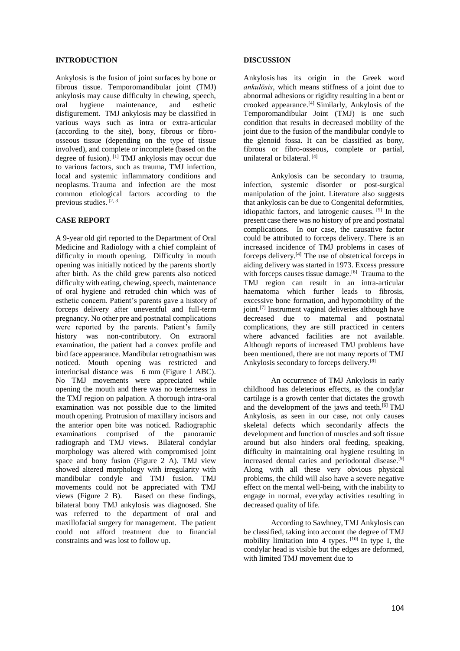#### **INTRODUCTION**

Ankylosis is the fusion of joint surfaces by bone or fibrous tissue. Temporomandibular joint (TMJ) ankylosis may cause difficulty in chewing, speech, oral hygiene maintenance, and esthetic disfigurement. TMJ ankylosis may be classified in various ways such as intra or extra-articular (according to the site), bony, fibrous or fibroosseous tissue (depending on the type of tissue involved), and complete or incomplete (based on the degree of fusion).  $\left[ \begin{array}{c} 1 \end{array} \right]$  TMJ ankylosis may occur due to various factors, such as trauma, TMJ infection, local and systemic inflammatory conditions and neoplasms. Trauma and infection are the most common etiological factors according to the previous studies.  $[2, 3]$ 

#### **CASE REPORT**

A 9-year old girl reported to the Department of Oral Medicine and Radiology with a chief complaint of difficulty in mouth opening. Difficulty in mouth opening was initially noticed by the parents shortly after birth. As the child grew parents also noticed difficulty with eating, chewing, speech, maintenance of oral hygiene and retruded chin which was of esthetic concern. Patient's parents gave a history of forceps delivery after uneventful and full-term pregnancy. No other pre and postnatal complications were reported by the parents. Patient's family history was non-contributory. On extraoral examination, the patient had a convex profile and bird face appearance. Mandibular retrognathism was noticed. Mouth opening was restricted and interincisal distance was 6 mm (Figure 1 ABC). No TMJ movements were appreciated while opening the mouth and there was no tenderness in the TMJ region on palpation. A thorough intra-oral examination was not possible due to the limited mouth opening. Protrusion of maxillary incisors and the anterior open bite was noticed. Radiographic examinations comprised of the panoramic radiograph and TMJ views. Bilateral condylar morphology was altered with compromised joint space and bony fusion (Figure 2 A). TMJ view showed altered morphology with irregularity with mandibular condyle and TMJ fusion. TMJ movements could not be appreciated with TMJ views (Figure 2 B). Based on these findings, bilateral bony TMJ ankylosis was diagnosed. She was referred to the department of oral and maxillofacial surgery for management. The patient could not afford treatment due to financial constraints and was lost to follow up.

#### **DISCUSSION**

Ankylosis has its origin in the Greek word *ankulōsis*, which means stiffness of a joint due to abnormal adhesions or rigidity resulting in a bent or crooked appearance.[4] Similarly, Ankylosis of the Temporomandibular Joint (TMJ) is one such condition that results in decreased mobility of the joint due to the fusion of the mandibular condyle to the glenoid fossa. It can be classified as bony, fibrous or fibro-osseous, complete or partial, unilateral or bilateral. [4]

Ankylosis can be secondary to trauma, infection, systemic disorder or post-surgical manipulation of the joint. Literature also suggests that ankylosis can be due to Congenital deformities, idiopathic factors, and iatrogenic causes. [5] In the present case there was no history of pre and postnatal complications. In our case, the causative factor could be attributed to forceps delivery. There is an increased incidence of TMJ problems in cases of forceps delivery.<sup>[4]</sup> The use of obstetrical forceps in aiding delivery was started in 1973. Excess pressure with forceps causes tissue damage.<sup>[6]</sup> Trauma to the TMJ region can result in an intra-articular haematoma which further leads to fibrosis, excessive bone formation, and hypomobility of the joint.<sup>[7]</sup> Instrument vaginal deliveries although have decreased due to maternal and postnatal complications, they are still practiced in centers where advanced facilities are not available. Although reports of increased TMJ problems have been mentioned, there are not many reports of TMJ Ankylosis secondary to forceps delivery.[8]

An occurrence of TMJ Ankylosis in early childhood has deleterious effects, as the condylar cartilage is a growth center that dictates the growth and the development of the jaws and teeth.<sup>[6]</sup> TMJ Ankylosis, as seen in our case, not only causes skeletal defects which secondarily affects the development and function of muscles and soft tissue around but also hinders oral feeding, speaking, difficulty in maintaining oral hygiene resulting in increased dental caries and periodontal disease.<sup>[9]</sup> Along with all these very obvious physical problems, the child will also have a severe negative effect on the mental well-being, with the inability to engage in normal, everyday activities resulting in decreased quality of life.

According to Sawhney, TMJ Ankylosis can be classified, taking into account the degree of TMJ mobility limitation into 4 types.  $[10]$  In type I, the condylar head is visible but the edges are deformed, with limited TMJ movement due to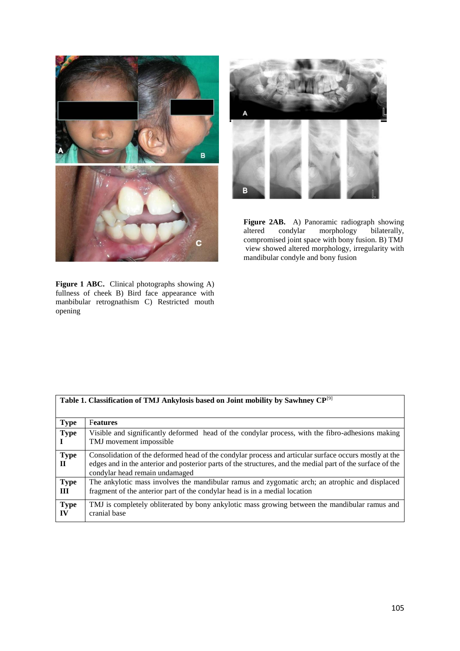



**Figure 2AB.** A) Panoramic radiograph showing altered condylar morphology bilaterally, compromised joint space with bony fusion. B) TMJ view showed altered morphology, irregularity with mandibular condyle and bony fusion

**Figure 1 ABC.** Clinical photographs showing A) fullness of cheek B) Bird face appearance with manbibular retrognathism C) Restricted mouth opening

| Table 1. Classification of TMJ Ankylosis based on Joint mobility by Sawhney CP <sup>[9]</sup> |                                                                                                                                                                                                                                                       |
|-----------------------------------------------------------------------------------------------|-------------------------------------------------------------------------------------------------------------------------------------------------------------------------------------------------------------------------------------------------------|
| <b>Type</b>                                                                                   | <b>Features</b>                                                                                                                                                                                                                                       |
| <b>Type</b>                                                                                   | Visible and significantly deformed head of the condylar process, with the fibro-adhesions making<br>TMJ movement impossible                                                                                                                           |
| <b>Type</b><br>П                                                                              | Consolidation of the deformed head of the condylar process and articular surface occurs mostly at the<br>edges and in the anterior and posterior parts of the structures, and the medial part of the surface of the<br>condylar head remain undamaged |
| <b>Type</b><br>Ш                                                                              | The ankylotic mass involves the mandibular ramus and zygomatic arch; an atrophic and displaced<br>fragment of the anterior part of the condylar head is in a medial location                                                                          |
| <b>Type</b><br>IV                                                                             | TMJ is completely obliterated by bony ankylotic mass growing between the mandibular ramus and<br>cranial base                                                                                                                                         |